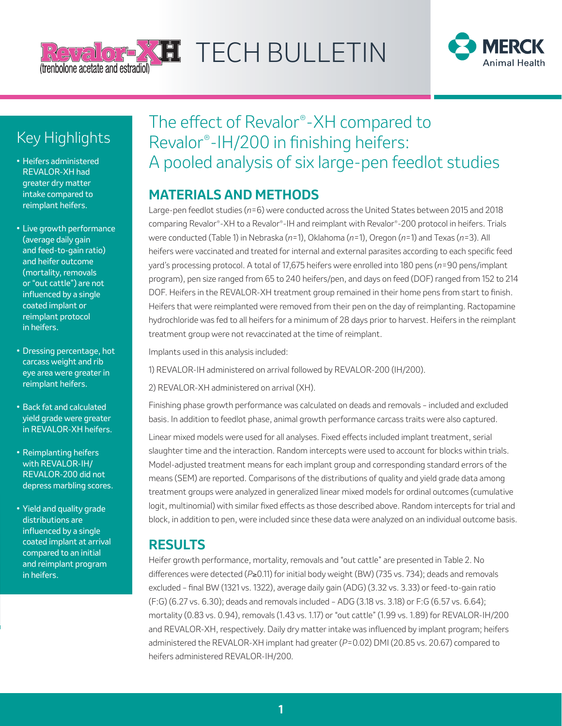



## Key Highlights

- **•** Heifers administered REVALOR-XH had greater dry matter intake compared to reimplant heifers.
- **•** Live growth performance (average daily gain and feed-to-gain ratio) and heifer outcome (mortality, removals or "out cattle") are not influenced by a single coated implant or reimplant protocol in heifers.
- **•** Dressing percentage, hot carcass weight and rib eye area were greater in reimplant heifers.
- **•** Back fat and calculated yield grade were greater in REVALOR-XH heifers.
- **•** Reimplanting heifers with REVALOR-IH/ REVALOR-200 did not depress marbling scores.
- **•** Yield and quality grade distributions are influenced by a single coated implant at arrival compared to an initial and reimplant program in heifers.

# The effect of Revalor®-XH compared to Revalor®-IH/200 in finishing heifers: A pooled analysis of six large-pen feedlot studies

### **MATERIALS AND METHODS**

Large-pen feedlot studies (*n*=6) were conducted across the United States between 2015 and 2018 comparing Revalor®-XH to a Revalor®-IH and reimplant with Revalor®-200 protocol in heifers. Trials were conducted (Table 1) in Nebraska (*n*=1), Oklahoma (*n*=1), Oregon (*n*=1) and Texas (*n*=3). All heifers were vaccinated and treated for internal and external parasites according to each specific feed yard's processing protocol. A total of 17,675 heifers were enrolled into 180 pens (*n*=90 pens/implant program), pen size ranged from 65 to 240 heifers/pen, and days on feed (DOF) ranged from 152 to 214 DOF. Heifers in the REVALOR-XH treatment group remained in their home pens from start to finish. Heifers that were reimplanted were removed from their pen on the day of reimplanting. Ractopamine hydrochloride was fed to all heifers for a minimum of 28 days prior to harvest. Heifers in the reimplant treatment group were not revaccinated at the time of reimplant.

Implants used in this analysis included:

1) REVALOR-IH administered on arrival followed by REVALOR-200 (IH/200).

2) REVALOR-XH administered on arrival (XH).

Finishing phase growth performance was calculated on deads and removals – included and excluded basis. In addition to feedlot phase, animal growth performance carcass traits were also captured.

Linear mixed models were used for all analyses. Fixed effects included implant treatment, serial slaughter time and the interaction. Random intercepts were used to account for blocks within trials. Model-adjusted treatment means for each implant group and corresponding standard errors of the means (SEM) are reported. Comparisons of the distributions of quality and yield grade data among treatment groups were analyzed in generalized linear mixed models for ordinal outcomes (cumulative logit, multinomial) with similar fixed effects as those described above. Random intercepts for trial and block, in addition to pen, were included since these data were analyzed on an individual outcome basis.

### **RESULTS**

Heifer growth performance, mortality, removals and "out cattle" are presented in Table 2. No differences were detected (*P*≥0.11) for initial body weight (BW) (735 vs. 734); deads and removals excluded – final BW (1321 vs. 1322), average daily gain (ADG) (3.32 vs. 3.33) or feed-to-gain ratio (F:G) (6.27 vs. 6.30); deads and removals included – ADG (3.18 vs. 3.18) or F:G (6.57 vs. 6.64); mortality (0.83 vs. 0.94), removals (1.43 vs. 1.17) or "out cattle" (1.99 vs. 1.89) for REVALOR-IH/200 and REVALOR-XH, respectively. Daily dry matter intake was influenced by implant program; heifers administered the REVALOR-XH implant had greater (*P*=0.02) DMI (20.85 vs. 20.67) compared to heifers administered REVALOR-IH/200.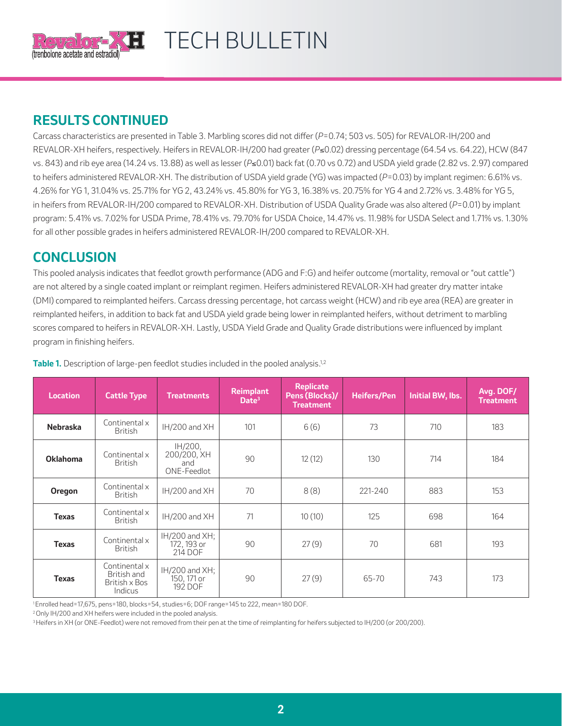

# $\bf H$  TECH BULLETIN

### **RESULTS CONTINUED**

Carcass characteristics are presented in Table 3. Marbling scores did not differ (*P*=0.74; 503 vs. 505) for REVALOR-IH/200 and REVALOR-XH heifers, respectively. Heifers in REVALOR-IH/200 had greater (*P*≤0.02) dressing percentage (64.54 vs. 64.22), HCW (847 vs. 843) and rib eye area (14.24 vs. 13.88) as well as lesser (*P*≤0.01) back fat (0.70 vs 0.72) and USDA yield grade (2.82 vs. 2.97) compared to heifers administered REVALOR-XH. The distribution of USDA yield grade (YG) was impacted (*P*=0.03) by implant regimen: 6.61% vs. 4.26% for YG 1, 31.04% vs. 25.71% for YG 2, 43.24% vs. 45.80% for YG 3, 16.38% vs. 20.75% for YG 4 and 2.72% vs. 3.48% for YG 5, in heifers from REVALOR-IH/200 compared to REVALOR-XH. Distribution of USDA Quality Grade was also altered (*P*=0.01) by implant program: 5.41% vs. 7.02% for USDA Prime, 78.41% vs. 79.70% for USDA Choice, 14.47% vs. 11.98% for USDA Select and 1.71% vs. 1.30% for all other possible grades in heifers administered REVALOR-IH/200 compared to REVALOR-XH.

### **CONCLUSION**

This pooled analysis indicates that feedlot growth performance (ADG and F:G) and heifer outcome (mortality, removal or "out cattle") are not altered by a single coated implant or reimplant regimen. Heifers administered REVALOR-XH had greater dry matter intake (DMI) compared to reimplanted heifers. Carcass dressing percentage, hot carcass weight (HCW) and rib eye area (REA) are greater in reimplanted heifers, in addition to back fat and USDA yield grade being lower in reimplanted heifers, without detriment to marbling scores compared to heifers in REVALOR-XH. Lastly, USDA Yield Grade and Quality Grade distributions were influenced by implant program in finishing heifers.

| <b>Location</b> | <b>Cattle Type</b>                                       | <b>Treatments</b>                             | <b>Reimplant</b><br>Date <sup>3</sup> | <b>Replicate</b><br>Pens (Blocks)/<br><b>Treatment</b> | <b>Heifers/Pen</b> | <b>Initial BW, lbs.</b> | Avg. DOF/<br><b>Treatment</b> |
|-----------------|----------------------------------------------------------|-----------------------------------------------|---------------------------------------|--------------------------------------------------------|--------------------|-------------------------|-------------------------------|
| <b>Nebraska</b> | Continental x<br><b>British</b>                          | IH/200 and XH                                 | 101                                   | 6(6)                                                   | 73                 | 710                     | 183                           |
| <b>Oklahoma</b> | Continental x<br><b>British</b>                          | IH/200,<br>200/200, XH<br>and<br>ONE-Feedlot  | 90                                    | 12(12)                                                 | 130                | 714                     | 184                           |
| Oregon          | Continental x<br>British                                 | IH/200 and XH                                 | 70                                    | 8(8)                                                   | $221 - 240$        | 883                     | 153                           |
| <b>Texas</b>    | Continental x<br><b>British</b>                          | IH/200 and XH                                 | 71                                    | 10(10)                                                 | 125                | 698                     | 164                           |
| <b>Texas</b>    | Continental x<br>British                                 | $IH/200$ and $XH$ :<br>172, 193 or<br>214 DOF | 90                                    | 27(9)                                                  | 70                 | 681                     | 193                           |
| <b>Texas</b>    | Continental x<br>British and<br>British x Bos<br>Indicus | $IH/200$ and $XH$ :<br>150, 171 or<br>192 DOF | 90                                    | 27(9)                                                  | 65-70              | 743                     | 173                           |

**Table 1.** Description of large-pen feedlot studies included in the pooled analysis.<sup>1,2</sup>

1 Enrolled head=17,675, pens=180, blocks=54, studies=6; DOF range=145 to 222, mean=180 DOF.

<sup>2</sup> Only IH/200 and XH heifers were included in the pooled analysis.

<sup>3</sup> Heifers in XH (or ONE-Feedlot) were not removed from their pen at the time of reimplanting for heifers subjected to IH/200 (or 200/200).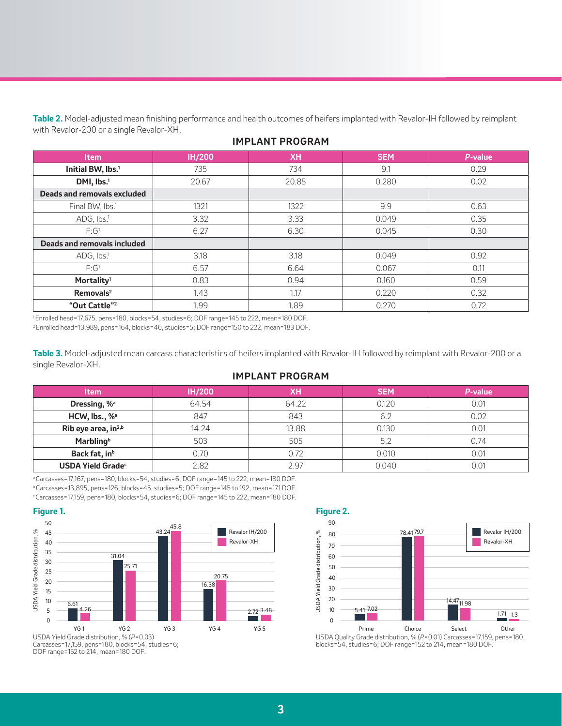**Table 2.** Model-adjusted mean finishing performance and health outcomes of heifers implanted with Revalor-IH followed by reimplant with Revalor-200 or a single Revalor-XH.

| <b>Item</b>                   | <b>IH/200</b> | <b>XH</b> | <b>SEM</b> | P-value |
|-------------------------------|---------------|-----------|------------|---------|
| Initial BW, lbs. <sup>1</sup> | 735           | 734       | 9.1        | 0.29    |
| DMI, lbs. <sup>1</sup>        | 20.67         | 20.85     | 0.280      | 0.02    |
| Deads and removals excluded   |               |           |            |         |
| Final BW, lbs. <sup>1</sup>   | 1321          | 1322      | 9.9        | 0.63    |
| $ADG, Ibs.$ <sup>1</sup>      | 3.32          | 3.33      | 0.049      | 0.35    |
| $F:G^1$                       | 6.27          | 6.30      | 0.045      | 0.30    |
| Deads and removals included   |               |           |            |         |
| ADG, Ibs <sup>1</sup>         | 3.18          | 3.18      | 0.049      | 0.92    |
| $F:G^1$                       | 6.57          | 6.64      | 0.067      | 0.11    |
| Mortality <sup>1</sup>        | 0.83          | 0.94      | 0.160      | 0.59    |
| Removals <sup>2</sup>         | 1.43          | 1.17      | 0.220      | 0.32    |
| "Out Cattle" <sup>2</sup>     | 1.99          | 1.89      | 0.270      | 0.72    |

#### **IMPLANT PROGRAM**

1 Enrolled head=17,675, pens=180, blocks=54, studies=6; DOF range=145 to 222, mean=180 DOF. 2 Enrolled head=13,989, pens=164, blocks=46, studies=5; DOF range=150 to 222, mean=183 DOF.

**Table 3.** Model-adjusted mean carcass characteristics of heifers implanted with Revalor-IH followed by reimplant with Revalor-200 or a single Revalor-XH.

#### **IMPLANT PROGRAM**

| <b>Item</b>                     | <b>IH/200</b> | XН    | <b>SEM</b> | P-value |
|---------------------------------|---------------|-------|------------|---------|
| Dressing, % <sup>a</sup>        | 64.54         | 64.22 | 0.120      | N 01    |
| HCW, Ibs., % <sup>a</sup>       | 847           | 843   | 6.2        | 0.02    |
| Rib eye area, in <sup>2,b</sup> | 14.24         | 13.88 | 0.130      | 0.01    |
| <b>Marbling</b> <sup>b</sup>    | 503           | 505   | 5.2        | 0.74    |
| Back fat, in <sup>b</sup>       | 0.70          | 0.72  | 0.010      | ი ი1    |
| USDA Yield Grade <sup>c</sup>   | 2.82          | 2.97  | 0.040      |         |

<sup>a</sup>Carcasses=17,167, pens=180, blocks=54, studies=6; DOF range=145 to 222, mean=180 DOF. b Carcasses=13,895, pens=126, blocks=45, studies=5; DOF range=145 to 192, mean=171 DOF.

c Carcasses=17,159, pens=180, blocks=54, studies=6; DOF range=145 to 222, mean=180 DOF.





DOF range=152 to 214, mean=180 DOF.



**Figure 2.**

 $\%$ 



Revalor IH/200

USDA Quality Grade distribution, % (*P*=0.01) Carcasses=17,159, pens=180,<br>blocks=54, studies=6; DOF range=152 to 214, mean=180 DOF.